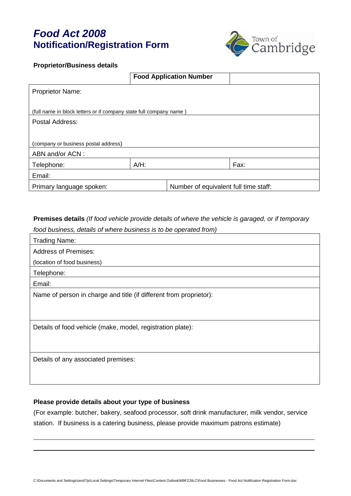# *Food Act 2008* **Notification/Registration Form**



#### **Proprietor/Business details**

|                                                                    |         | <b>Food Application Number</b>        |      |  |  |
|--------------------------------------------------------------------|---------|---------------------------------------|------|--|--|
| <b>Proprietor Name:</b>                                            |         |                                       |      |  |  |
|                                                                    |         |                                       |      |  |  |
| (full name in block letters or if company state full company name) |         |                                       |      |  |  |
| Postal Address:                                                    |         |                                       |      |  |  |
|                                                                    |         |                                       |      |  |  |
| (company or business postal address)                               |         |                                       |      |  |  |
| ABN and/or ACN:                                                    |         |                                       |      |  |  |
| Telephone:                                                         | $A/H$ : |                                       | Fax: |  |  |
| Email:                                                             |         |                                       |      |  |  |
| Primary language spoken:                                           |         | Number of equivalent full time staff: |      |  |  |

**Premises details** *(If food vehicle provide details of where the vehicle is garaged, or if temporary food business, details of where business is to be operated from)*

| <b>Trading Name:</b>                                               |
|--------------------------------------------------------------------|
| <b>Address of Premises:</b>                                        |
| (location of food business)                                        |
| Telephone:                                                         |
| Email:                                                             |
| Name of person in charge and title (if different from proprietor): |
|                                                                    |
|                                                                    |
| Details of food vehicle (make, model, registration plate):         |
|                                                                    |
|                                                                    |
| Details of any associated premises:                                |
|                                                                    |
|                                                                    |

## **Please provide details about your type of business**

(For example: butcher, bakery, seafood processor, soft drink manufacturer, milk vendor, service station. If business is a catering business, please provide maximum patrons estimate)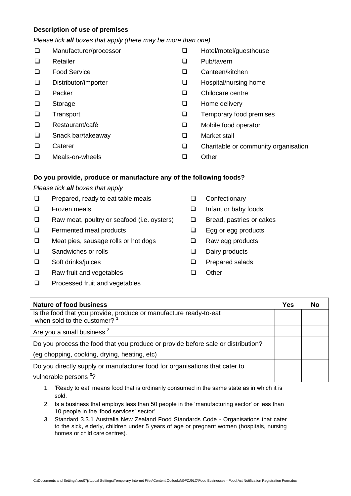# **Description of use of premises**

### *Please tick all boxes that apply (there may be more than one)*

| $\Box$ | Manufacturer/processor |   | Hotel/motel/guesthouse               |
|--------|------------------------|---|--------------------------------------|
| $\Box$ | Retailer               | ⊔ | Pub/tavern                           |
| $\Box$ | <b>Food Service</b>    | ⊔ | Canteen/kitchen                      |
| $\Box$ | Distributor/importer   | ⊔ | Hospital/nursing home                |
| $\Box$ | Packer                 | ⊔ | Childcare centre                     |
| $\Box$ | Storage                | ⊔ | Home delivery                        |
| $\Box$ | Transport              | ❏ | Temporary food premises              |
| $\Box$ | Restaurant/café        | ❏ | Mobile food operator                 |
| $\Box$ | Snack bar/takeaway     | □ | Market stall                         |
| $\Box$ | Caterer                | ❏ | Charitable or community organisation |
| □      | Meals-on-wheels        |   | Other                                |
|        |                        |   |                                      |

# **Do you provide, produce or manufacture any of the following foods?**

## *Please tick all boxes that apply*

- $\Box$  Prepared, ready to eat table meals
- **Exercise** Frozen meals
- $\Box$  Raw meat, poultry or seafood (i.e. oysters)
- $\Box$  Fermented meat products
- □ Meat pies, sausage rolls or hot dogs
- □ Sandwiches or rolls
- Soft drinks/juices
- □ Raw fruit and vegetables
- **Q** Processed fruit and vegetables
- **Q** Confectionary
- □ Infant or baby foods
- □ Bread, pastries or cakes
- **Egg or egg products**
- □ Raw egg products
- Dairy products
- **Q** Prepared salads
- **Q** Other

| Nature of food business                                                                                      | Yes | No |
|--------------------------------------------------------------------------------------------------------------|-----|----|
| Is the food that you provide, produce or manufacture ready-to-eat<br>when sold to the customer? <sup>1</sup> |     |    |
| Are you a small business <sup>2</sup>                                                                        |     |    |
| Do you process the food that you produce or provide before sale or distribution?                             |     |    |
| (eg chopping, cooking, drying, heating, etc)                                                                 |     |    |
| Do you directly supply or manufacturer food for organisations that cater to                                  |     |    |
| vulnerable persons <sup>3</sup> ?                                                                            |     |    |

- 1. 'Ready to eat' means food that is ordinarily consumed in the same state as in which it is sold.
- 2. Is a business that employs less than 50 people in the 'manufacturing sector' or less than 10 people in the 'food services' sector'.
- 3. Standard 3.3.1 Australia New Zealand Food Standards Code Organisations that cater to the sick, elderly, children under 5 years of age or pregnant women (hospitals, nursing homes or child care centres).